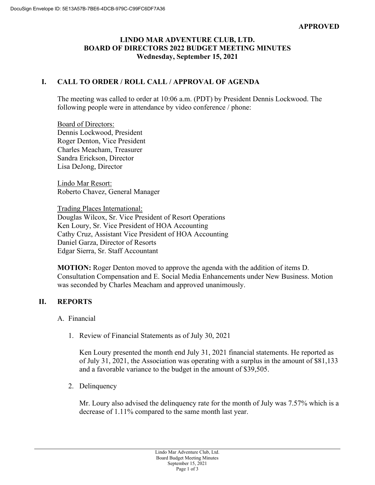## **LINDO MAR ADVENTURE CLUB, LTD. BOARD OF DIRECTORS 2022 BUDGET MEETING MINUTES Wednesday, September 15, 2021**

# **I. CALL TO ORDER / ROLL CALL / APPROVAL OF AGENDA**

The meeting was called to order at 10:06 a.m. (PDT) by President Dennis Lockwood. The following people were in attendance by video conference / phone:

Board of Directors: Dennis Lockwood, President Roger Denton, Vice President Charles Meacham, Treasurer Sandra Erickson, Director Lisa DeJong, Director

Lindo Mar Resort: Roberto Chavez, General Manager

Trading Places International: Douglas Wilcox, Sr. Vice President of Resort Operations Ken Loury, Sr. Vice President of HOA Accounting Cathy Cruz, Assistant Vice President of HOA Accounting Daniel Garza, Director of Resorts Edgar Sierra, Sr. Staff Accountant

**MOTION:** Roger Denton moved to approve the agenda with the addition of items D. Consultation Compensation and E. Social Media Enhancements under New Business. Motion was seconded by Charles Meacham and approved unanimously.

## **II. REPORTS**

#### A. Financial

1. Review of Financial Statements as of July 30, 2021

Ken Loury presented the month end July 31, 2021 financial statements. He reported as of July 31, 2021, the Association was operating with a surplus in the amount of \$81,133 and a favorable variance to the budget in the amount of \$39,505.

2. Delinquency

Mr. Loury also advised the delinquency rate for the month of July was 7.57% which is a decrease of 1.11% compared to the same month last year.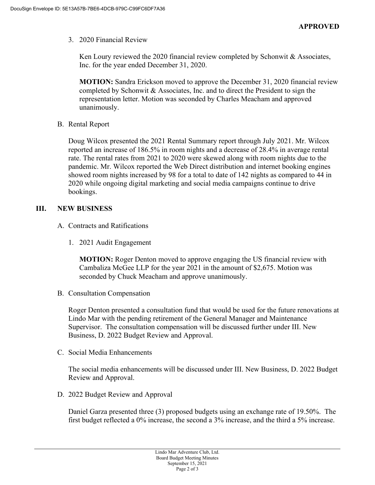3. 2020 Financial Review

Ken Loury reviewed the 2020 financial review completed by Schonwit  $\&$  Associates, Inc. for the year ended December 31, 2020.

**MOTION:** Sandra Erickson moved to approve the December 31, 2020 financial review completed by Schonwit & Associates, Inc. and to direct the President to sign the representation letter. Motion was seconded by Charles Meacham and approved unanimously.

B. Rental Report

Doug Wilcox presented the 2021 Rental Summary report through July 2021. Mr. Wilcox reported an increase of 186.5% in room nights and a decrease of 28.4% in average rental rate. The rental rates from 2021 to 2020 were skewed along with room nights due to the pandemic. Mr. Wilcox reported the Web Direct distribution and internet booking engines showed room nights increased by 98 for a total to date of 142 nights as compared to 44 in 2020 while ongoing digital marketing and social media campaigns continue to drive bookings.

# **III. NEW BUSINESS**

- A. Contracts and Ratifications
	- 1. 2021 Audit Engagement

**MOTION:** Roger Denton moved to approve engaging the US financial review with Cambaliza McGee LLP for the year 2021 in the amount of \$2,675. Motion was seconded by Chuck Meacham and approve unanimously.

B. Consultation Compensation

Roger Denton presented a consultation fund that would be used for the future renovations at Lindo Mar with the pending retirement of the General Manager and Maintenance Supervisor. The consultation compensation will be discussed further under III. New Business, D. 2022 Budget Review and Approval.

C. Social Media Enhancements

The social media enhancements will be discussed under III. New Business, D. 2022 Budget Review and Approval.

D. 2022 Budget Review and Approval

Daniel Garza presented three (3) proposed budgets using an exchange rate of 19.50%. The first budget reflected a 0% increase, the second a 3% increase, and the third a 5% increase.